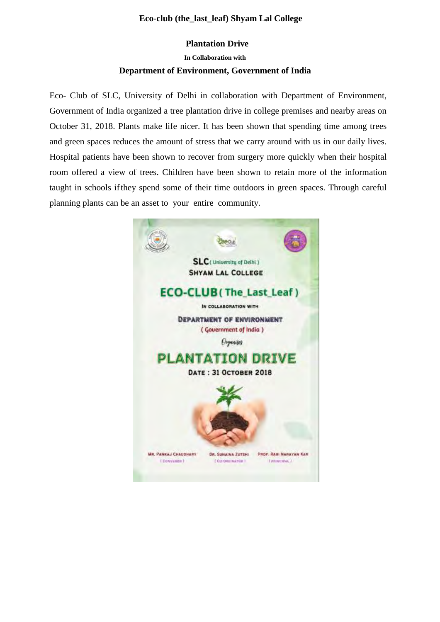## **Eco-club (the\_last\_leaf) Shyam Lal College**

## **Plantation Drive**

**In Collaboration with**

## Department of Environment, Government of India

Eco- Club of SLC, University of Delhi in collaboration with Department of Environment, Government of India organized a tree plantation drive in college premises and nearby areas on October 31, 2018. Plants make life nicer. It has been shown that spending time among trees and green spaces reduces the amount of stress that we carry around with us in our daily lives. Hospital patients have been shown to recover from surgery more quickly when their hospital room offered a view of trees. Children have been shown to retain more of the information taught in schools if they spend some of their time outdoors in green spaces. Through careful planning plants can be an asset to your entire community.

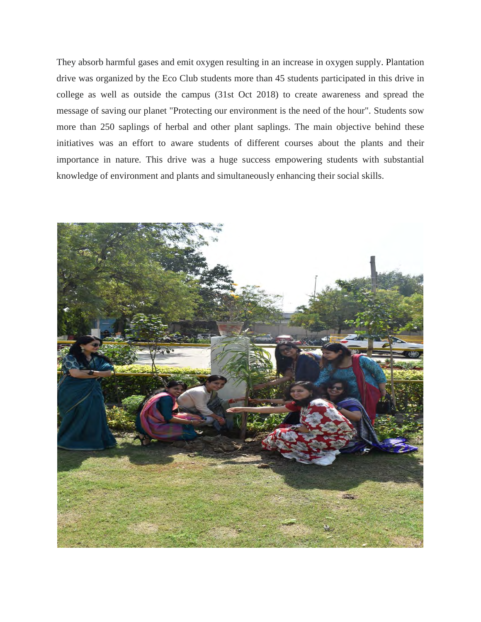They absorb harmful gases and emit oxygen resulting in an increase in oxygen supply. Plantation drive was organized by the Eco Club students more than 45 students participated in this drive in college as well as outside the campus (31st Oct 2018) to create awareness and spread the message of saving our planet "Protecting our environment is the need of the hour". Students sow more than 250 saplings of herbal and other plant saplings. The main objective behind these initiatives was an effort to aware students of different courses about the plants and their importance in nature. This drive was a huge success empowering students with substantial knowledge of environment and plants and simultaneously enhancing their social skills.

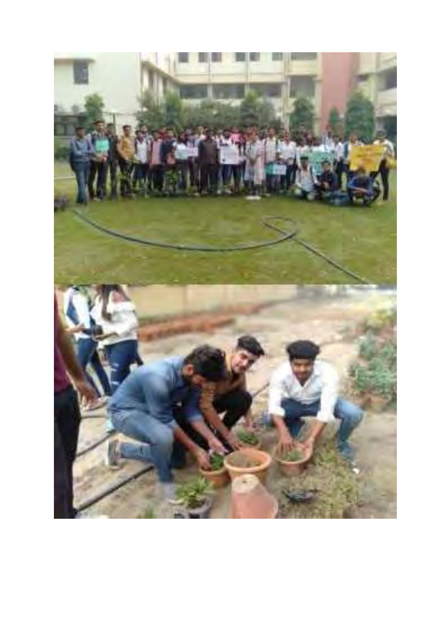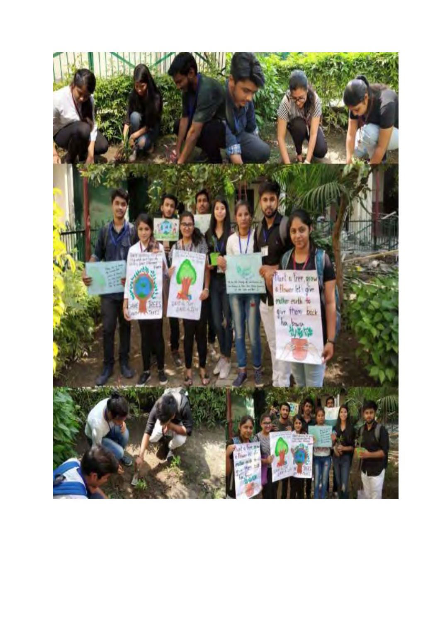